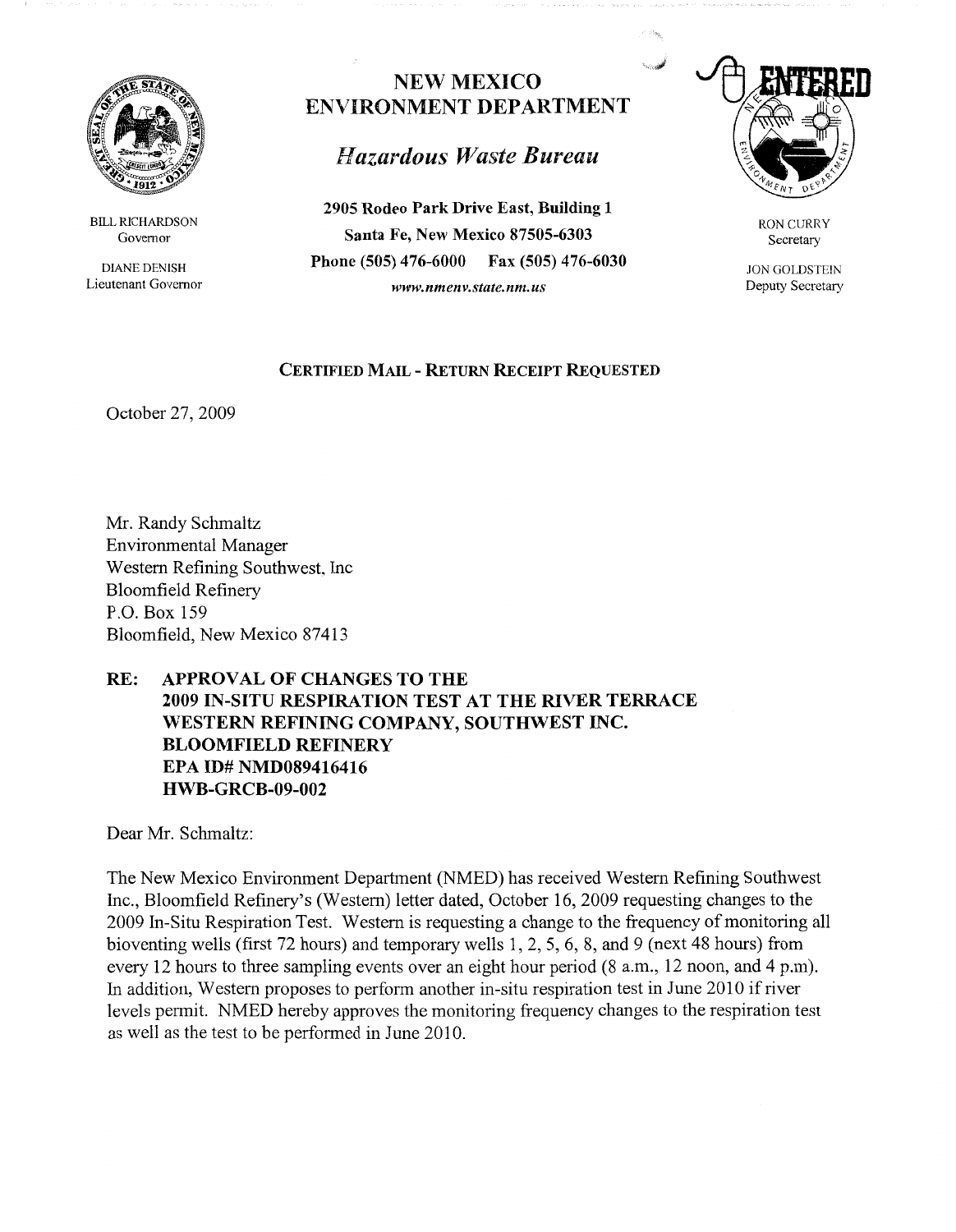

BILL RICHARDSON Governor

DIANE DENISH Lieutenant Governor

## NEW MEXICO ENVIRONMENT DEPARTMENT

## *Hazardous 1Vaste Bureau*

**2905 Rodeo Park Drive East, Building 1 Santa Fe, New Mexico 87505-6303 Phone (505) 476-6000 Fax (505) 476-6030**  *www.nmenv.state.nm.us* 



RON CURRY Secretary

**JON GOLDSTEIN** Deputy Secretary

## **CERTIFIED MAIL** - **RETURN RECEIPT REQUESTED**

October 27, 2009

Mr. Randy Schmaltz Environmental Manager Western Refining Southwest, Inc Bloomfield Refinery P.O. Box 159 Bloomfield, New Mexico 87413

## **RE: APPROVAL OF CHANGES TO THE 2009 IN-SITU RESPIRATION TEST AT THE RIVER TERRACE WESTERN REFINING COMPANY, SOUTHWEST INC. BLOOMFIELD REFINERY EPA ID# NMD089416416 HWB-GRCB-09-002**

Dear Mr. Schmaltz:

The New Mexico Environment Department (NMED) has received Western Refining Southwest Inc., Bloomfield Refinery's (Western) letter dated, October 16, 2009 requesting changes to the 2009 In-Situ Respiration Test. Western is requesting a change to the frequency of monitoring all bioventing wells (first 72 hours) and temporary wells 1, 2, 5, 6, 8, and 9 (next 48 hours) from every 12 hours to three sampling events over an eight hour period (8 a.m., 12 noon, and 4 p.m). In addition, Western proposes to perform another in-situ respiration test in June 2010 if river levels permit. NMED hereby approves the monitoring frequency changes to the respiration test as well as the test to be performed in June 2010.